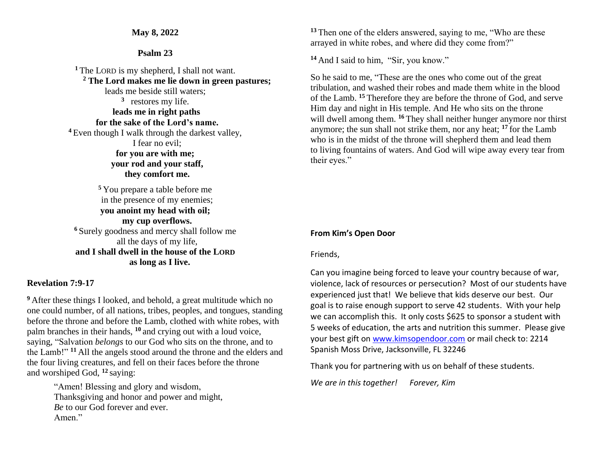## **May 8, 2022**

## **Psalm 23**

**<sup>1</sup>** The LORD is my shepherd, I shall not want. **<sup>2</sup> The Lord makes me lie down in green pastures;** leads me beside still waters; **3** restores my life. **leads me in right paths for the sake of the Lord's name. <sup>4</sup>** Even though I walk through the darkest valley, I fear no evil; **for you are with me; your rod and your staff, they comfort me.**

**<sup>5</sup>** You prepare a table before me in the presence of my enemies; **you anoint my head with oil; my cup overflows. <sup>6</sup>** Surely goodness and mercy shall follow me all the days of my life, **and I shall dwell in the house of the LORD as long as I live.**

## **Revelation 7:9-17**

**<sup>9</sup>** After these things I looked, and behold, a great multitude which no one could number, of all nations, tribes, peoples, and tongues, standing before the throne and before the Lamb, clothed with white robes, with palm branches in their hands, **<sup>10</sup>** and crying out with a loud voice, saying, "Salvation *belongs* to our God who sits on the throne, and to the Lamb!" **<sup>11</sup>** All the angels stood around the throne and the elders and the four living creatures, and fell on their faces before the throne and worshiped God, **<sup>12</sup>** saying:

> "Amen! Blessing and glory and wisdom, Thanksgiving and honor and power and might, *Be* to our God forever and ever. Amen."

**<sup>13</sup>** Then one of the elders answered, saying to me, "Who are these arrayed in white robes, and where did they come from?"

**<sup>14</sup>** And I said to him, "Sir, you know."

So he said to me, "These are the ones who come out of the great tribulation, and washed their robes and made them white in the blood of the Lamb. **<sup>15</sup>** Therefore they are before the throne of God, and serve Him day and night in His temple. And He who sits on the throne will dwell among them. <sup>16</sup> They shall neither hunger anymore nor thirst anymore; the sun shall not strike them, nor any heat; **<sup>17</sup>** for the Lamb who is in the midst of the throne will shepherd them and lead them to living fountains of waters. And God will wipe away every tear from their eyes."

# **From Kim's Open Door**

Friends,

Can you imagine being forced to leave your country because of war, violence, lack of resources or persecution? Most of our students have experienced just that! We believe that kids deserve our best. Our goal is to raise enough support to serve 42 students. With your help we can accomplish this. It only costs \$625 to sponsor a student with 5 weeks of education, the arts and nutrition this summer. Please give your best gift on [www.kimsopendoor.com](http://www.kimsopendoor.com/) or mail check to: 2214 Spanish Moss Drive, Jacksonville, FL 32246

Thank you for partnering with us on behalf of these students.

*We are in this together! Forever, Kim*